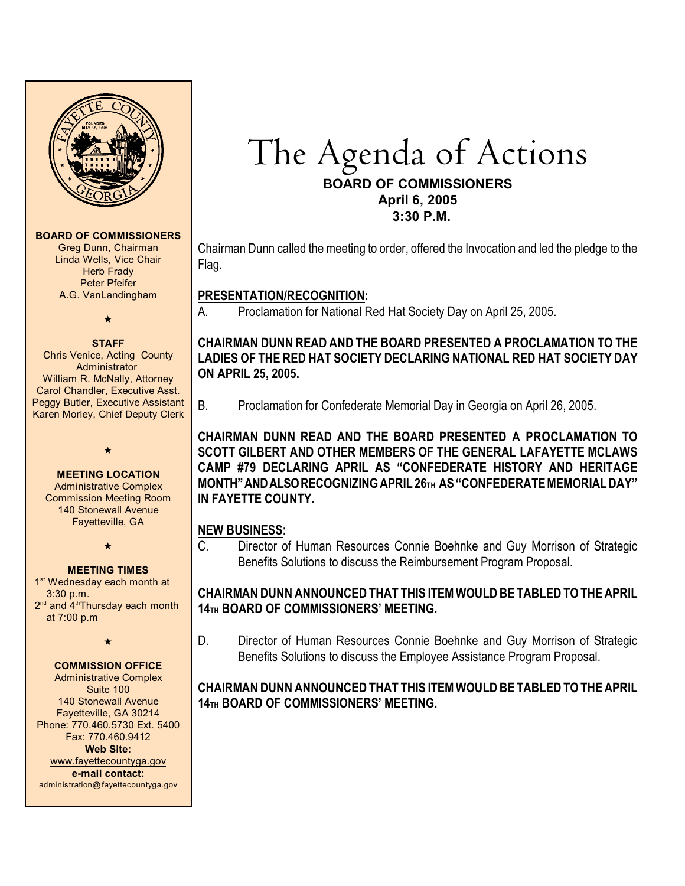

#### **BOARD OF COMMISSIONERS**

Greg Dunn, Chairman Linda Wells, Vice Chair **Herb Frady** Peter Pfeifer A.G. VanLandingham

# $\star$

**STAFF** Chris Venice, Acting County Administrator William R. McNally, Attorney Carol Chandler, Executive Asst. Peggy Butler, Executive Assistant Karen Morley, Chief Deputy Clerk

 $\star$ 

# **MEETING LOCATION**

Administrative Complex Commission Meeting Room 140 Stonewall Avenue Fayetteville, GA

 $\star$ 

#### **MEETING TIMES**

1<sup>st</sup> Wednesday each month at 3:30 p.m. 2<sup>nd</sup> and 4<sup>th</sup>Thursday each month at 7:00 p.m

 $\star$ 

#### **COMMISSION OFFICE**

Administrative Complex Suite 100 140 Stonewall Avenue Fayetteville, GA 30214 Phone: 770.460.5730 Ext. 5400 Fax: 770.460.9412 **Web Site:** [www.fayettecountyga.gov](http://www.admin.co.fayette.ga.us) **e-mail contact:** [administration@fayettecountyga.gov](mailto:administration@fayettecountyga.gov)

# The Agenda of Actions **BOARD OF COMMISSIONERS April 6, 2005**

 **3:30 P.M.**

Chairman Dunn called the meeting to order, offered the Invocation and led the pledge to the Flag.

#### **PRESENTATION/RECOGNITION:**

A. Proclamation for National Red Hat Society Day on April 25, 2005.

## **CHAIRMAN DUNN READ AND THE BOARD PRESENTED A PROCLAMATION TO THE LADIES OF THE RED HAT SOCIETY DECLARING NATIONAL RED HAT SOCIETY DAY ON APRIL 25, 2005.**

B. Proclamation for Confederate Memorial Day in Georgia on April 26, 2005.

**CHAIRMAN DUNN READ AND THE BOARD PRESENTED A PROCLAMATION TO SCOTT GILBERT AND OTHER MEMBERS OF THE GENERAL LAFAYETTE MCLAWS CAMP #79 DECLARING APRIL AS "CONFEDERATE HISTORY AND HERITAGE MONTH" AND ALSO RECOGNIZING APRIL 26TH AS "CONFEDERATE MEMORIAL DAY" IN FAYETTE COUNTY.**

#### **NEW BUSINESS:**

C. Director of Human Resources Connie Boehnke and Guy Morrison of Strategic Benefits Solutions to discuss the Reimbursement Program Proposal.

#### **CHAIRMAN DUNN ANNOUNCED THAT THIS ITEM WOULD BE TABLED TO THE APRIL 14TH BOARD OF COMMISSIONERS' MEETING.**

D. Director of Human Resources Connie Boehnke and Guy Morrison of Strategic Benefits Solutions to discuss the Employee Assistance Program Proposal.

## **CHAIRMAN DUNN ANNOUNCED THAT THIS ITEM WOULD BE TABLED TO THE APRIL 14TH BOARD OF COMMISSIONERS' MEETING.**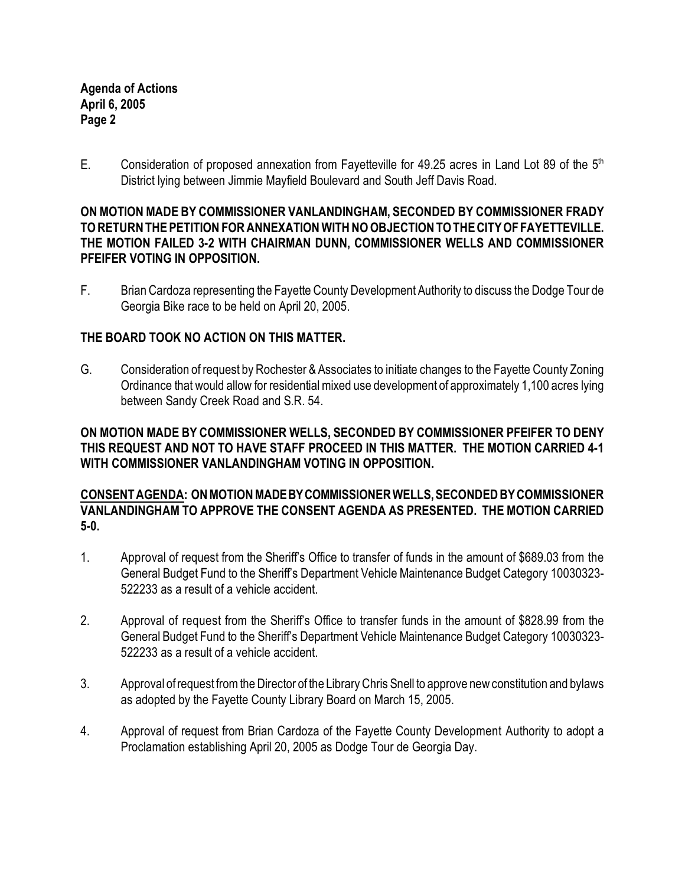**Agenda of Actions April 6, 2005 Page 2**

E. Consideration of proposed annexation from Fayetteville for 49.25 acres in Land Lot 89 of the  $5<sup>th</sup>$ District lying between Jimmie Mayfield Boulevard and South Jeff Davis Road.

#### **ON MOTION MADE BY COMMISSIONER VANLANDINGHAM, SECONDED BY COMMISSIONER FRADY TO RETURN THE PETITION FORANNEXATION WITH NO OBJECTION TO THE CITY OF FAYETTEVILLE. THE MOTION FAILED 3-2 WITH CHAIRMAN DUNN, COMMISSIONER WELLS AND COMMISSIONER PFEIFER VOTING IN OPPOSITION.**

F. Brian Cardoza representing the Fayette County Development Authority to discuss the Dodge Tour de Georgia Bike race to be held on April 20, 2005.

## **THE BOARD TOOK NO ACTION ON THIS MATTER.**

G. Consideration of request by Rochester & Associates to initiate changes to the Fayette County Zoning Ordinance that would allow for residential mixed use development of approximately 1,100 acres lying between Sandy Creek Road and S.R. 54.

## **ON MOTION MADE BY COMMISSIONER WELLS, SECONDED BY COMMISSIONER PFEIFER TO DENY THIS REQUEST AND NOT TO HAVE STAFF PROCEED IN THIS MATTER. THE MOTION CARRIED 4-1 WITH COMMISSIONER VANLANDINGHAM VOTING IN OPPOSITION.**

#### **CONSENT AGENDA: ON MOTION MADE BY COMMISSIONER WELLS, SECONDED BY COMMISSIONER VANLANDINGHAM TO APPROVE THE CONSENT AGENDA AS PRESENTED. THE MOTION CARRIED 5-0.**

- 1. Approval of request from the Sheriff's Office to transfer of funds in the amount of \$689.03 from the General Budget Fund to the Sheriff's Department Vehicle Maintenance Budget Category 10030323- 522233 as a result of a vehicle accident.
- 2. Approval of request from the Sheriff's Office to transfer funds in the amount of \$828.99 from the General Budget Fund to the Sheriff's Department Vehicle Maintenance Budget Category 10030323- 522233 as a result of a vehicle accident.
- 3. Approval ofrequest from the Director of the Library Chris Snell to approve new constitution and bylaws as adopted by the Fayette County Library Board on March 15, 2005.
- 4. Approval of request from Brian Cardoza of the Fayette County Development Authority to adopt a Proclamation establishing April 20, 2005 as Dodge Tour de Georgia Day.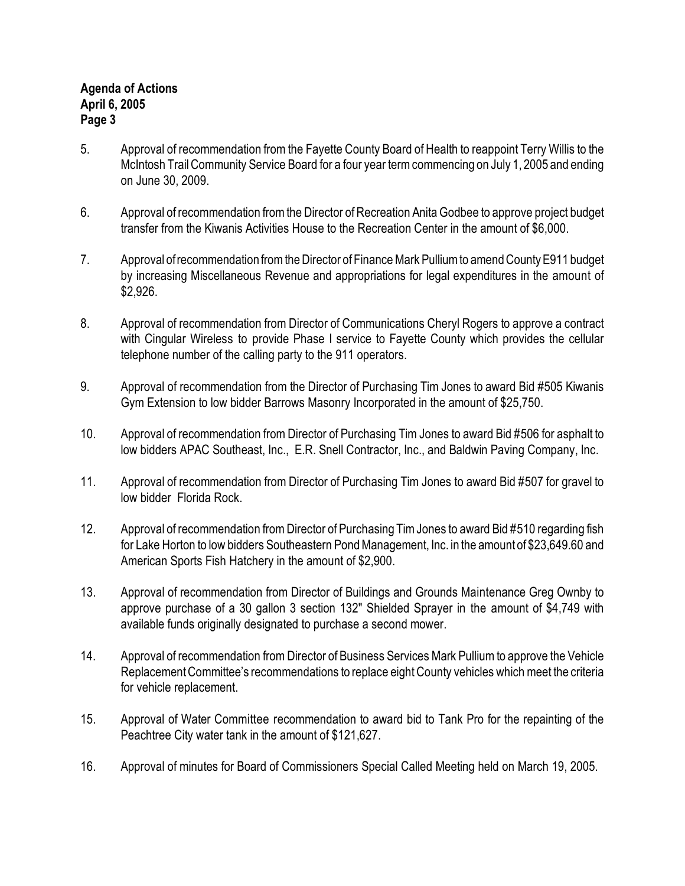- 5. Approval of recommendation from the Fayette County Board of Health to reappoint Terry Willis to the McIntosh Trail Community Service Board for a four year term commencing on July 1, 2005 and ending on June 30, 2009.
- 6. Approval of recommendation from the Director of Recreation Anita Godbee to approve project budget transfer from the Kiwanis Activities House to the Recreation Center in the amount of \$6,000.
- 7. Approval of recommendation from the Director of Finance Mark Pulliumto amend County E911 budget by increasing Miscellaneous Revenue and appropriations for legal expenditures in the amount of \$2,926.
- 8. Approval of recommendation from Director of Communications Cheryl Rogers to approve a contract with Cingular Wireless to provide Phase I service to Fayette County which provides the cellular telephone number of the calling party to the 911 operators.
- 9. Approval of recommendation from the Director of Purchasing Tim Jones to award Bid #505 Kiwanis Gym Extension to low bidder Barrows Masonry Incorporated in the amount of \$25,750.
- 10. Approval of recommendation from Director of Purchasing Tim Jones to award Bid #506 for asphalt to low bidders APAC Southeast, Inc., E.R. Snell Contractor, Inc., and Baldwin Paving Company, Inc.
- 11. Approval of recommendation from Director of Purchasing Tim Jones to award Bid #507 for gravel to low bidder Florida Rock.
- 12. Approval of recommendation from Director of Purchasing TimJones to award Bid #510 regarding fish for Lake Horton to low bidders Southeastern Pond Management, Inc. in the amount of \$23,649.60 and American Sports Fish Hatchery in the amount of \$2,900.
- 13. Approval of recommendation from Director of Buildings and Grounds Maintenance Greg Ownby to approve purchase of a 30 gallon 3 section 132" Shielded Sprayer in the amount of \$4,749 with available funds originally designated to purchase a second mower.
- 14. Approval of recommendation from Director of Business Services Mark Pullium to approve the Vehicle Replacement Committee's recommendations to replace eight County vehicles which meet the criteria for vehicle replacement.
- 15. Approval of Water Committee recommendation to award bid to Tank Pro for the repainting of the Peachtree City water tank in the amount of \$121,627.
- 16. Approval of minutes for Board of Commissioners Special Called Meeting held on March 19, 2005.